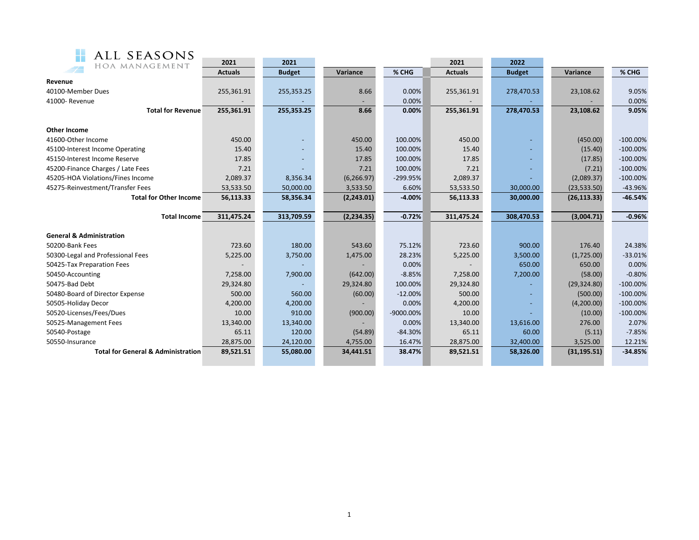| ALL SEASONS                                   |                |               |             |           |                |               |              |             |
|-----------------------------------------------|----------------|---------------|-------------|-----------|----------------|---------------|--------------|-------------|
| HOA MANAGEMENT                                | 2021           | 2021          |             |           | 2021           | 2022          |              |             |
|                                               | <b>Actuals</b> | <b>Budget</b> | Variance    | % CHG     | <b>Actuals</b> | <b>Budget</b> | Variance     | % CHG       |
| Revenue                                       |                |               |             |           |                |               |              |             |
| 40100-Member Dues                             | 255,361.91     | 255,353.25    | 8.66        | 0.00%     | 255,361.91     | 278,470.53    | 23,108.62    | 9.05%       |
| 41000-Revenue                                 |                |               | $\sim$      | 0.00%     |                |               |              | 0.00%       |
| <b>Total for Revenue</b>                      | 255,361.91     | 255,353.25    | 8.66        | 0.00%     | 255,361.91     | 278,470.53    | 23,108.62    | 9.05%       |
|                                               |                |               |             |           |                |               |              |             |
| Other Income                                  |                |               |             |           |                |               |              |             |
| 41600-Other Income                            | 450.00         |               | 450.00      | 100.00%   | 450.00         |               | (450.00)     | $-100.00\%$ |
| 45100-Interest Income Operating               | 15.40          |               | 15.40       | 100.00%   | 15.40          |               | (15.40)      | $-100.00\%$ |
| 45150-Interest Income Reserve                 | 17.85          |               | 17.85       | 100.00%   | 17.85          |               | (17.85)      | $-100.00\%$ |
| 45200-Finance Charges / Late Fees             | 7.21           |               | 7.21        | 100.00%   | 7.21           |               | (7.21)       | $-100.00\%$ |
| 45205-HOA Violations/Fines Income             | 2,089.37       | 8,356.34      | (6, 266.97) | -299.95%  | 2,089.37       |               | (2,089.37)   | $-100.00\%$ |
| 45275-Reinvestment/Transfer Fees              | 53,533.50      | 50,000.00     | 3,533.50    | 6.60%     | 53,533.50      | 30,000.00     | (23,533.50)  | $-43.96%$   |
| <b>Total for Other Income</b>                 | 56,113.33      | 58,356.34     | (2,243.01)  | $-4.00%$  | 56,113.33      | 30,000.00     | (26, 113.33) | $-46.54%$   |
|                                               |                |               |             |           |                |               |              |             |
| <b>Total Income</b>                           | 311,475.24     | 313,709.59    | (2, 234.35) | $-0.72%$  | 311,475.24     | 308,470.53    | (3,004.71)   | $-0.96%$    |
| <b>General &amp; Administration</b>           |                |               |             |           |                |               |              |             |
| 50200-Bank Fees                               | 723.60         | 180.00        | 543.60      | 75.12%    | 723.60         | 900.00        | 176.40       | 24.38%      |
| 50300-Legal and Professional Fees             | 5,225.00       | 3,750.00      | 1,475.00    | 28.23%    | 5,225.00       | 3,500.00      | (1,725.00)   | $-33.01%$   |
| 50425-Tax Preparation Fees                    |                |               |             | 0.00%     |                | 650.00        | 650.00       | 0.00%       |
| 50450-Accounting                              | 7,258.00       | 7,900.00      | (642.00)    | $-8.85%$  | 7,258.00       | 7,200.00      | (58.00)      | $-0.80%$    |
| 50475-Bad Debt                                | 29,324.80      |               | 29,324.80   | 100.00%   | 29,324.80      |               | (29, 324.80) | $-100.00\%$ |
| 50480-Board of Director Expense               | 500.00         | 560.00        | (60.00)     | $-12.00%$ | 500.00         |               | (500.00)     | $-100.00\%$ |
| 50505-Holiday Decor                           | 4,200.00       | 4,200.00      |             | 0.00%     | 4,200.00       |               | (4,200.00)   | $-100.00\%$ |
| 50520-Licenses/Fees/Dues                      | 10.00          | 910.00        | (900.00)    | -9000.00% | 10.00          |               | (10.00)      | $-100.00\%$ |
| 50525-Management Fees                         | 13,340.00      | 13,340.00     |             | 0.00%     | 13,340.00      | 13,616.00     | 276.00       | 2.07%       |
| 50540-Postage                                 | 65.11          | 120.00        | (54.89)     | $-84.30%$ | 65.11          | 60.00         | (5.11)       | $-7.85%$    |
| 50550-Insurance                               | 28,875.00      | 24,120.00     | 4,755.00    | 16.47%    | 28,875.00      | 32,400.00     | 3,525.00     | 12.21%      |
| <b>Total for General &amp; Administration</b> | 89,521.51      | 55,080.00     | 34,441.51   | 38.47%    | 89,521.51      | 58,326.00     | (31, 195.51) | $-34.85%$   |
|                                               |                |               |             |           |                |               |              |             |
|                                               |                |               |             |           |                |               |              |             |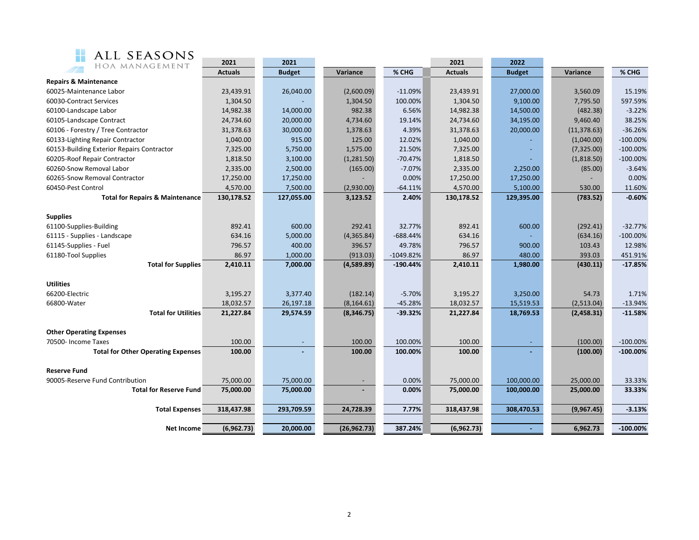| ALL SEASONS                                |                |                          |                          |             |                |                          |              |            |
|--------------------------------------------|----------------|--------------------------|--------------------------|-------------|----------------|--------------------------|--------------|------------|
| M.<br>HOA MANAGEMENT                       | 2021           | 2021                     |                          |             | 2021           | 2022                     |              |            |
|                                            | <b>Actuals</b> | <b>Budget</b>            | Variance                 | % CHG       | <b>Actuals</b> | <b>Budget</b>            | Variance     | % CHG      |
| <b>Repairs &amp; Maintenance</b>           |                |                          |                          |             |                |                          |              |            |
| 60025-Maintenance Labor                    | 23,439.91      | 26,040.00                | (2,600.09)               | $-11.09%$   | 23,439.91      | 27,000.00                | 3,560.09     | 15.19%     |
| 60030-Contract Services                    | 1,304.50       |                          | 1,304.50                 | 100.00%     | 1,304.50       | 9,100.00                 | 7,795.50     | 597.59%    |
| 60100-Landscape Labor                      | 14,982.38      | 14,000.00                | 982.38                   | 6.56%       | 14,982.38      | 14,500.00                | (482.38)     | $-3.22%$   |
| 60105-Landscape Contract                   | 24,734.60      | 20,000.00                | 4,734.60                 | 19.14%      | 24,734.60      | 34,195.00                | 9,460.40     | 38.25%     |
| 60106 - Forestry / Tree Contractor         | 31,378.63      | 30,000.00                | 1,378.63                 | 4.39%       | 31,378.63      | 20,000.00                | (11, 378.63) | $-36.26%$  |
| 60133-Lighting Repair Contractor           | 1,040.00       | 915.00                   | 125.00                   | 12.02%      | 1,040.00       |                          | (1,040.00)   | $-100.00%$ |
| 60153-Building Exterior Repairs Contractor | 7,325.00       | 5,750.00                 | 1,575.00                 | 21.50%      | 7,325.00       | $\overline{\phantom{a}}$ | (7,325.00)   | $-100.00%$ |
| 60205-Roof Repair Contractor               | 1,818.50       | 3,100.00                 | (1,281.50)               | $-70.47%$   | 1,818.50       |                          | (1,818.50)   | $-100.00%$ |
| 60260-Snow Removal Labor                   | 2,335.00       | 2,500.00                 | (165.00)                 | $-7.07%$    | 2,335.00       | 2,250.00                 | (85.00)      | $-3.64%$   |
| 60265-Snow Removal Contractor              | 17,250.00      | 17,250.00                |                          | 0.00%       | 17,250.00      | 17,250.00                |              | 0.00%      |
| 60450-Pest Control                         | 4,570.00       | 7,500.00                 | (2,930.00)               | $-64.11%$   | 4,570.00       | 5,100.00                 | 530.00       | 11.60%     |
| <b>Total for Repairs &amp; Maintenance</b> | 130,178.52     | 127,055.00               | 3,123.52                 | 2.40%       | 130,178.52     | 129,395.00               | (783.52)     | $-0.60%$   |
|                                            |                |                          |                          |             |                |                          |              |            |
| <b>Supplies</b>                            |                |                          |                          |             |                |                          |              |            |
| 61100-Supplies-Building                    | 892.41         | 600.00                   | 292.41                   | 32.77%      | 892.41         | 600.00                   | (292.41)     | $-32.77%$  |
| 61115 - Supplies - Landscape               | 634.16         | 5,000.00                 | (4,365.84)               | $-688.44%$  | 634.16         |                          | (634.16)     | $-100.00%$ |
| 61145-Supplies - Fuel                      | 796.57         | 400.00                   | 396.57                   | 49.78%      | 796.57         | 900.00                   | 103.43       | 12.98%     |
| 61180-Tool Supplies                        | 86.97          | 1,000.00                 | (913.03)                 | $-1049.82%$ | 86.97          | 480.00                   | 393.03       | 451.91%    |
| <b>Total for Supplies</b>                  | 2,410.11       | 7,000.00                 | (4,589.89)               | $-190.44%$  | 2,410.11       | 1,980.00                 | (430.11)     | $-17.85%$  |
|                                            |                |                          |                          |             |                |                          |              |            |
| <b>Utilities</b>                           |                |                          |                          |             |                |                          |              |            |
| 66200-Electric                             | 3,195.27       | 3,377.40                 | (182.14)                 | $-5.70%$    | 3,195.27       | 3,250.00                 | 54.73        | 1.71%      |
| 66800-Water<br><b>Total for Utilities</b>  | 18,032.57      | 26,197.18                | (8, 164.61)              | $-45.28%$   | 18,032.57      | 15,519.53                | (2,513.04)   | $-13.94%$  |
|                                            | 21,227.84      | 29,574.59                | (8,346.75)               | $-39.32%$   | 21,227.84      | 18,769.53                | (2,458.31)   | $-11.58%$  |
| <b>Other Operating Expenses</b>            |                |                          |                          |             |                |                          |              |            |
| 70500- Income Taxes                        | 100.00         | $\overline{\phantom{a}}$ | 100.00                   | 100.00%     | 100.00         | $\blacksquare$           | (100.00)     | $-100.00%$ |
| <b>Total for Other Operating Expenses</b>  | 100.00         | $\sim$                   | 100.00                   | 100.00%     | 100.00         |                          | (100.00)     | $-100.00%$ |
|                                            |                |                          |                          |             |                |                          |              |            |
| <b>Reserve Fund</b>                        |                |                          |                          |             |                |                          |              |            |
| 90005-Reserve Fund Contribution            | 75,000.00      | 75,000.00                | $\overline{\phantom{a}}$ | 0.00%       | 75,000.00      | 100,000.00               | 25,000.00    | 33.33%     |
| <b>Total for Reserve Fund</b>              | 75,000.00      | 75,000.00                |                          | 0.00%       | 75,000.00      | 100,000.00               | 25,000.00    | 33.33%     |
|                                            |                |                          |                          |             |                |                          |              |            |

**Total Expenses 318,437.98 293,709.59 24,728.39 7.77% 318,437.98 308,470.53 (9,967.45) -3.13%**

**Net Income (6,962.73) 20,000.00 (26,962.73) 387.24% (6,962.73) - 6,962.73 -100.00%**